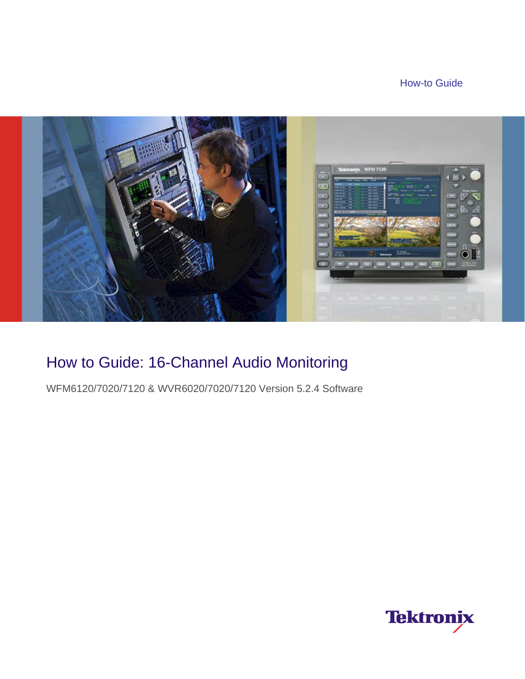### How-to Guide



# How to Guide: 16-Channel Audio Monitoring

WFM6120/7020/7120 & WVR6020/7020/7120 Version 5.2.4 Software

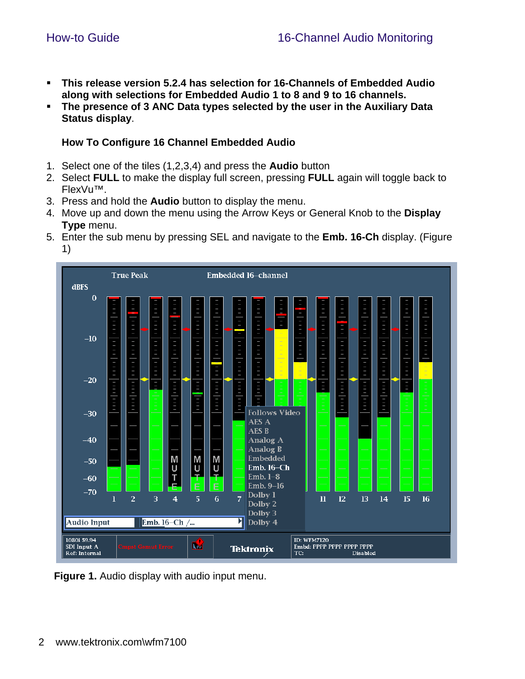- **This release version 5.2.4 has selection for 16-Channels of Embedded Audio along with selections for Embedded Audio 1 to 8 and 9 to 16 channels.**
- **The presence of 3 ANC Data types selected by the user in the Auxiliary Data Status display**.

#### **How To Configure 16 Channel Embedded Audio**

- 1. Select one of the tiles (1,2,3,4) and press the **Audio** button
- 2. Select **FULL** to make the display full screen, pressing **FULL** again will toggle back to FlexVu™.
- 3. Press and hold the **Audio** button to display the menu.
- 4. Move up and down the menu using the Arrow Keys or General Knob to the **Display Type** menu.
- 5. Enter the sub menu by pressing SEL and navigate to the **Emb. 16-Ch** display. (Figure 1)



**Figure 1.** Audio display with audio input menu.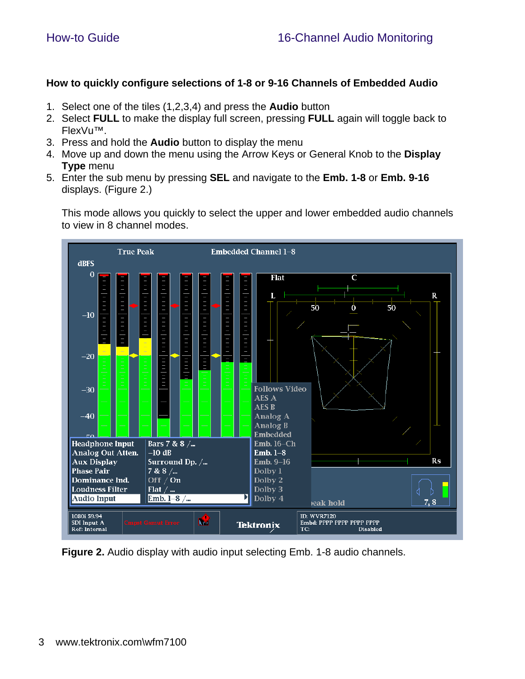#### **How to quickly configure selections of 1-8 or 9-16 Channels of Embedded Audio**

- 1. Select one of the tiles (1,2,3,4) and press the **Audio** button
- 2. Select **FULL** to make the display full screen, pressing **FULL** again will toggle back to FlexVu™.
- 3. Press and hold the **Audio** button to display the menu
- 4. Move up and down the menu using the Arrow Keys or General Knob to the **Display Type** menu
- 5. Enter the sub menu by pressing **SEL** and navigate to the **Emb. 1-8** or **Emb. 9-16**  displays. (Figure 2.)

This mode allows you quickly to select the upper and lower embedded audio channels to view in 8 channel modes.



**Figure 2.** Audio display with audio input selecting Emb. 1-8 audio channels.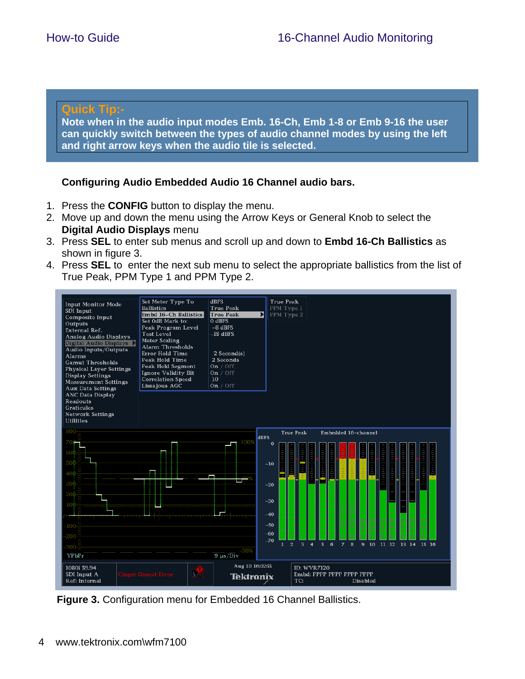#### **Quick Tip:-**

**Note when in the audio input modes Emb. 16-Ch, Emb 1-8 or Emb 9-16 the user can quickly switch between the types of audio channel modes by using the left and right arrow keys when the audio tile is selected.** 

#### **Configuring Audio Embedded Audio 16 Channel audio bars.**

- 1. Press the **CONFIG** button to display the menu.
- 2. Move up and down the menu using the Arrow Keys or General Knob to select the **Digital Audio Displays** menu
- 3. Press **SEL** to enter sub menus and scroll up and down to **Embd 16-Ch Ballistics** as shown in figure 3.
- 4. Press **SEL** to enter the next sub menu to select the appropriate ballistics from the list of True Peak, PPM Type 1 and PPM Type 2.



**Figure 3.** Configuration menu for Embedded 16 Channel Ballistics.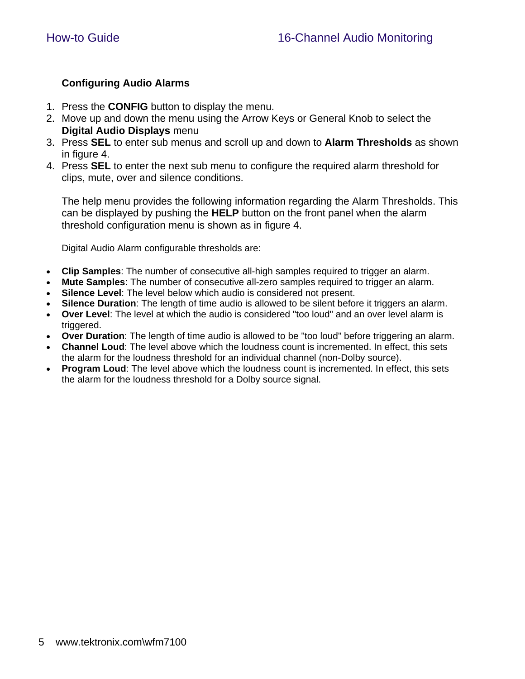#### **Configuring Audio Alarms**

- 1. Press the **CONFIG** button to display the menu.
- 2. Move up and down the menu using the Arrow Keys or General Knob to select the **Digital Audio Displays** menu
- 3. Press **SEL** to enter sub menus and scroll up and down to **Alarm Thresholds** as shown in figure 4.
- 4. Press **SEL** to enter the next sub menu to configure the required alarm threshold for clips, mute, over and silence conditions.

The help menu provides the following information regarding the Alarm Thresholds. This can be displayed by pushing the **HELP** button on the front panel when the alarm threshold configuration menu is shown as in figure 4.

Digital Audio Alarm configurable thresholds are:

- **Clip Samples**: The number of consecutive all-high samples required to trigger an alarm.
- **Mute Samples**: The number of consecutive all-zero samples required to trigger an alarm.
- **Silence Level**: The level below which audio is considered not present.
- **Silence Duration**: The length of time audio is allowed to be silent before it triggers an alarm.
- **Over Level**: The level at which the audio is considered "too loud" and an over level alarm is triggered.
- **Over Duration**: The length of time audio is allowed to be "too loud" before triggering an alarm.
- **Channel Loud**: The level above which the loudness count is incremented. In effect, this sets the alarm for the loudness threshold for an individual channel (non-Dolby source).
- **Program Loud:** The level above which the loudness count is incremented. In effect, this sets the alarm for the loudness threshold for a Dolby source signal.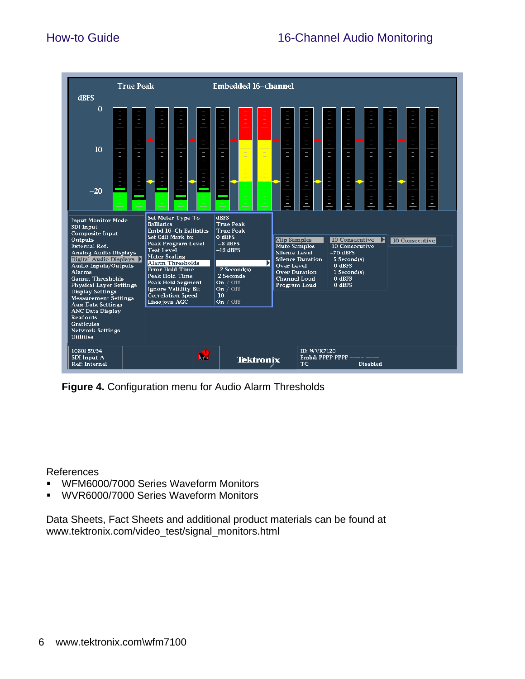

**Figure 4.** Configuration menu for Audio Alarm Thresholds

References

- WFM6000/7000 Series Waveform Monitors
- WVR6000/7000 Series Waveform Monitors

Data Sheets, Fact Sheets and additional product materials can be found at www.tektronix.com/video\_test/signal\_monitors.html